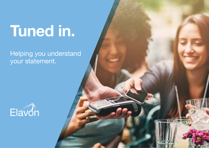Helping you understand your statement.





# [Tuned in.](#page-1-0)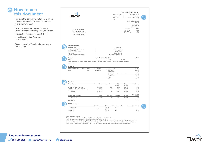<span id="page-1-0"></span>

| period covered by the statement. |  |
|----------------------------------|--|

Track this monthly as it shows the percentage of eligible DCC sales that were actually converted using DCC. The higher the percentage, the higher

See your revenue each month from 'DCC Actual' i.e. where the customer opted into DCC. Track your missed revenue each month and minimise this figure by offering DCC in an informative and supportive

![](_page_1_Picture_6.jpeg)